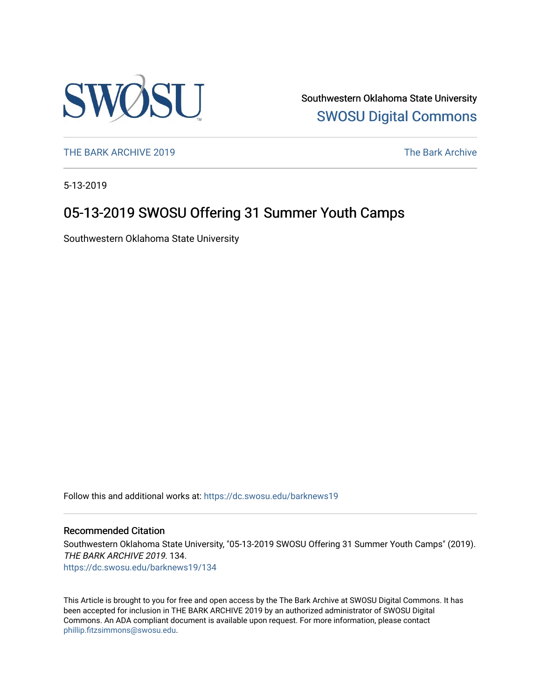

Southwestern Oklahoma State University [SWOSU Digital Commons](https://dc.swosu.edu/) 

[THE BARK ARCHIVE 2019](https://dc.swosu.edu/barknews19) The Bark Archive

5-13-2019

## 05-13-2019 SWOSU Offering 31 Summer Youth Camps

Southwestern Oklahoma State University

Follow this and additional works at: [https://dc.swosu.edu/barknews19](https://dc.swosu.edu/barknews19?utm_source=dc.swosu.edu%2Fbarknews19%2F134&utm_medium=PDF&utm_campaign=PDFCoverPages)

#### Recommended Citation

Southwestern Oklahoma State University, "05-13-2019 SWOSU Offering 31 Summer Youth Camps" (2019). THE BARK ARCHIVE 2019. 134. [https://dc.swosu.edu/barknews19/134](https://dc.swosu.edu/barknews19/134?utm_source=dc.swosu.edu%2Fbarknews19%2F134&utm_medium=PDF&utm_campaign=PDFCoverPages)

This Article is brought to you for free and open access by the The Bark Archive at SWOSU Digital Commons. It has been accepted for inclusion in THE BARK ARCHIVE 2019 by an authorized administrator of SWOSU Digital Commons. An ADA compliant document is available upon request. For more information, please contact [phillip.fitzsimmons@swosu.edu](mailto:phillip.fitzsimmons@swosu.edu).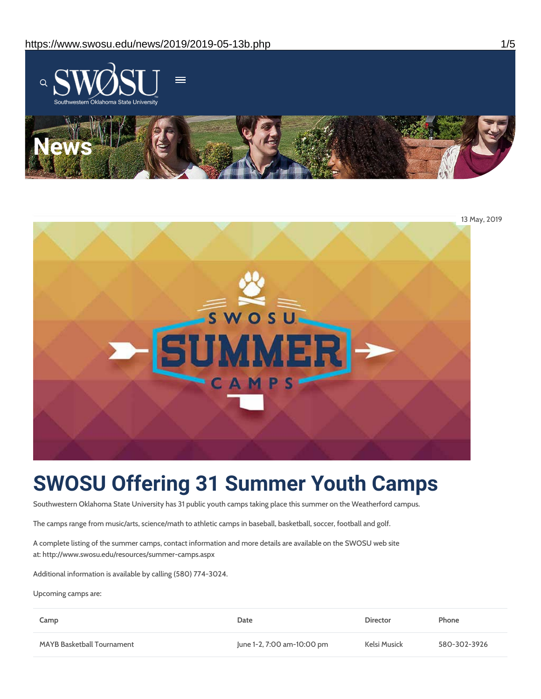



# **SWOSU Offering 31 Summer Youth Camps**

Southwestern Oklahoma State University has 31 public youth camps taking place this summer on the Weatherford campus.

The camps range from music/arts, science/math to athletic camps in baseball, basketball, soccer, football and golf.

A complete listing of the summer camps, contact information and more details are available on the SWOSU web site at: http://www.swosu.edu/resources/summer-camps.aspx

Additional information is available by calling (580) 774-3024.

Upcoming camps are:

| Camp                              | Date                       | <b>Director</b> | Phone        |
|-----------------------------------|----------------------------|-----------------|--------------|
| <b>MAYB Basketball Tournament</b> | June 1-2, 7:00 am-10:00 pm | Kelsi Musick    | 580-302-3926 |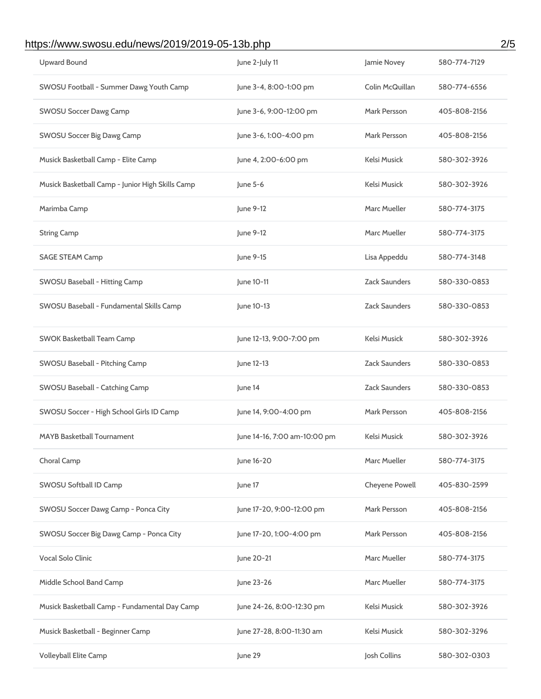## https://www.swosu.edu/news/2019/2019-05-13b.php 2/5

| <b>Upward Bound</b>                              | June 2-July 11               | Jamie Novey          | 580-774-7129 |
|--------------------------------------------------|------------------------------|----------------------|--------------|
| SWOSU Football - Summer Dawg Youth Camp          | June 3-4, 8:00-1:00 pm       | Colin McQuillan      | 580-774-6556 |
| <b>SWOSU Soccer Dawg Camp</b>                    | June 3-6, 9:00-12:00 pm      | Mark Persson         | 405-808-2156 |
| <b>SWOSU Soccer Big Dawg Camp</b>                | June 3-6, 1:00-4:00 pm       | <b>Mark Persson</b>  | 405-808-2156 |
| Musick Basketball Camp - Elite Camp              | June 4, 2:00-6:00 pm         | Kelsi Musick         | 580-302-3926 |
| Musick Basketball Camp - Junior High Skills Camp | June 5-6                     | Kelsi Musick         | 580-302-3926 |
| Marimba Camp                                     | June 9-12                    | <b>Marc Mueller</b>  | 580-774-3175 |
| <b>String Camp</b>                               | June 9-12                    | <b>Marc Mueller</b>  | 580-774-3175 |
| <b>SAGE STEAM Camp</b>                           | June 9-15                    | Lisa Appeddu         | 580-774-3148 |
| SWOSU Baseball - Hitting Camp                    | June 10-11                   | <b>Zack Saunders</b> | 580-330-0853 |
| SWOSU Baseball - Fundamental Skills Camp         | June 10-13                   | Zack Saunders        | 580-330-0853 |
| <b>SWOK Basketball Team Camp</b>                 | June 12-13, 9:00-7:00 pm     | Kelsi Musick         | 580-302-3926 |
| SWOSU Baseball - Pitching Camp                   | June 12-13                   | Zack Saunders        | 580-330-0853 |
| SWOSU Baseball - Catching Camp                   | June 14                      | <b>Zack Saunders</b> | 580-330-0853 |
| SWOSU Soccer - High School Girls ID Camp         | June 14, 9:00-4:00 pm        | Mark Persson         | 405-808-2156 |
|                                                  |                              |                      |              |
| <b>MAYB Basketball Tournament</b>                | June 14-16, 7:00 am-10:00 pm | Kelsi Musick         | 580-302-3926 |
| Choral Camp                                      | June 16-20                   | Marc Mueller         | 580-774-3175 |
| SWOSU Softball ID Camp                           | June 17                      | Cheyene Powell       | 405-830-2599 |
| SWOSU Soccer Dawg Camp - Ponca City              | June 17-20, 9:00-12:00 pm    | Mark Persson         | 405-808-2156 |
| SWOSU Soccer Big Dawg Camp - Ponca City          | June 17-20, 1:00-4:00 pm     | Mark Persson         | 405-808-2156 |
| Vocal Solo Clinic                                | June 20-21                   | <b>Marc Mueller</b>  | 580-774-3175 |
| Middle School Band Camp                          | June 23-26                   | <b>Marc Mueller</b>  | 580-774-3175 |
| Musick Basketball Camp - Fundamental Day Camp    | June 24-26, 8:00-12:30 pm    | Kelsi Musick         | 580-302-3926 |
| Musick Basketball - Beginner Camp                | June 27-28, 8:00-11:30 am    | Kelsi Musick         | 580-302-3296 |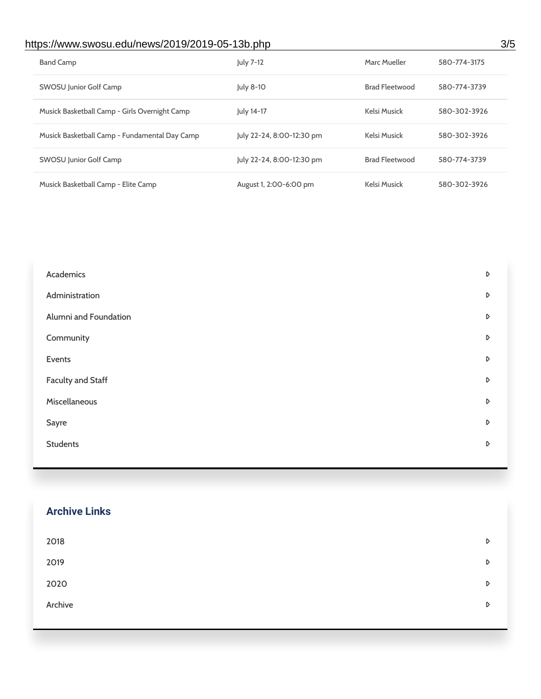## https://www.swosu.edu/news/2019/2019-05-13b.php 3/5

| <b>Band Camp</b>                              | July 7-12                 | Marc Mueller          | 580-774-3175 |
|-----------------------------------------------|---------------------------|-----------------------|--------------|
| SWOSU Junior Golf Camp                        | July 8-10                 | <b>Brad Fleetwood</b> | 580-774-3739 |
| Musick Basketball Camp - Girls Overnight Camp | July 14-17                | Kelsi Musick          | 580-302-3926 |
| Musick Basketball Camp - Fundamental Day Camp | July 22-24, 8:00-12:30 pm | Kelsi Musick          | 580-302-3926 |
| SWOSU Junior Golf Camp                        | July 22-24, 8:00-12:30 pm | <b>Brad Fleetwood</b> | 580-774-3739 |
| Musick Basketball Camp - Elite Camp           | August 1, 2:00-6:00 pm    | Kelsi Musick          | 580-302-3926 |

| Academics                | D |
|--------------------------|---|
| Administration           | D |
| Alumni and Foundation    | D |
| Community                | D |
| Events                   | D |
| <b>Faculty and Staff</b> | D |
| Miscellaneous            | D |
| Sayre                    | D |
| <b>Students</b>          | D |
|                          |   |

#### **Archive Links**

| 2018    | D                |
|---------|------------------|
| 2019    | $\triangleright$ |
| 2020    | $\triangleright$ |
| Archive | $\triangleright$ |
|         |                  |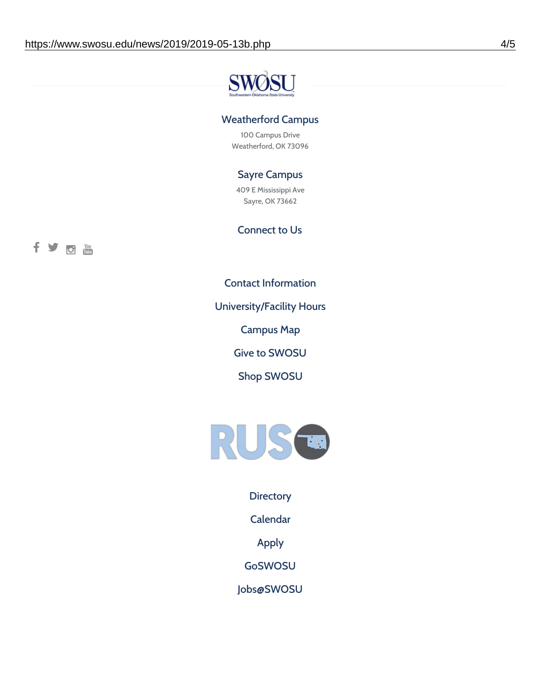![](_page_4_Picture_1.jpeg)

#### Weatherford Campus

100 Campus Drive Weatherford, OK 73096

#### Sayre Campus

409 E Mississippi Ave Sayre, OK 73662

Connect to Us

![](_page_4_Picture_7.jpeg)

Contact [Information](https://www.swosu.edu/about/contact.php)

[University/Facility](https://www.swosu.edu/about/operating-hours.php) Hours

[Campus](https://map.concept3d.com/?id=768#!ct/10964,10214,10213,10212,10205,10204,10203,10202,10136,10129,10128,0,31226,10130,10201,10641,0) Map

Give to [SWOSU](https://standingfirmly.com/donate)

Shop [SWOSU](https://shopswosu.merchorders.com/)

![](_page_4_Picture_13.jpeg)

**[Directory](https://www.swosu.edu/directory/index.php)** 

[Calendar](https://eventpublisher.dudesolutions.com/swosu/)

[Apply](https://www.swosu.edu/admissions/apply-to-swosu.php)

[GoSWOSU](https://qlsso.quicklaunchsso.com/home/1267)

[Jobs@SWOSU](https://swosu.csod.com/ux/ats/careersite/1/home?c=swosu)